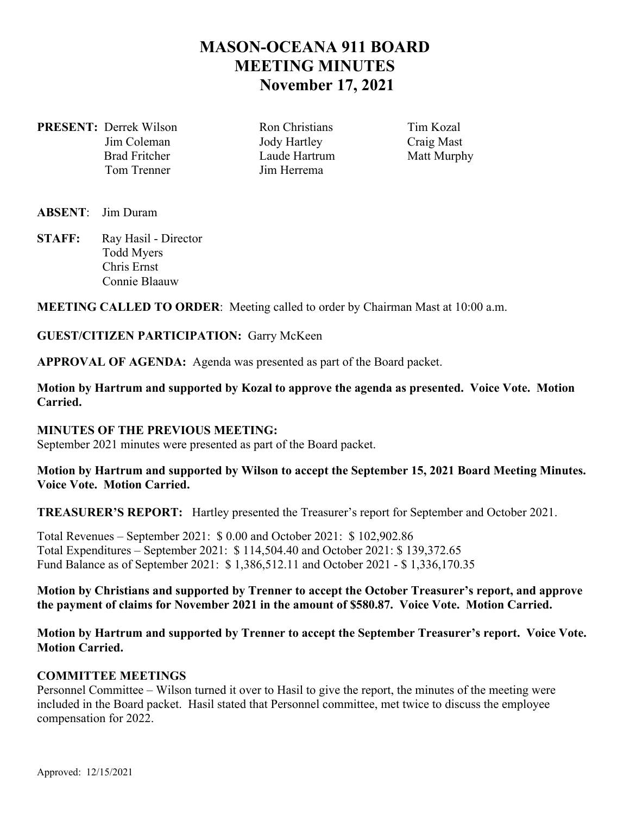# **MASON-OCEANA 911 BOARD MEETING MINUTES November 17, 2021**

**PRESENT:** Derrek Wilson *Ron Christians* Tim Kozal Tom Trenner Jim Herrema

 Jim Coleman Jody Hartley Craig Mast Brad Fritcher **Laude Hartrum** Matt Murphy

# **ABSENT**: Jim Duram

**STAFF:** Ray Hasil - Director Todd Myers Chris Ernst Connie Blaauw

**MEETING CALLED TO ORDER**: Meeting called to order by Chairman Mast at 10:00 a.m.

### **GUEST/CITIZEN PARTICIPATION:** Garry McKeen

**APPROVAL OF AGENDA:** Agenda was presented as part of the Board packet.

**Motion by Hartrum and supported by Kozal to approve the agenda as presented. Voice Vote. Motion Carried.** 

#### **MINUTES OF THE PREVIOUS MEETING:**

September 2021 minutes were presented as part of the Board packet.

#### **Motion by Hartrum and supported by Wilson to accept the September 15, 2021 Board Meeting Minutes. Voice Vote. Motion Carried.**

**TREASURER'S REPORT:** Hartley presented the Treasurer's report for September and October 2021.

Total Revenues – September 2021: \$ 0.00 and October 2021: \$ 102,902.86 Total Expenditures – September 2021: \$ 114,504.40 and October 2021: \$ 139,372.65 Fund Balance as of September 2021: \$ 1,386,512.11 and October 2021 - \$ 1,336,170.35

### **Motion by Christians and supported by Trenner to accept the October Treasurer's report, and approve the payment of claims for November 2021 in the amount of \$580.87. Voice Vote. Motion Carried.**

# **Motion by Hartrum and supported by Trenner to accept the September Treasurer's report. Voice Vote. Motion Carried.**

# **COMMITTEE MEETINGS**

Personnel Committee – Wilson turned it over to Hasil to give the report, the minutes of the meeting were included in the Board packet. Hasil stated that Personnel committee, met twice to discuss the employee compensation for 2022.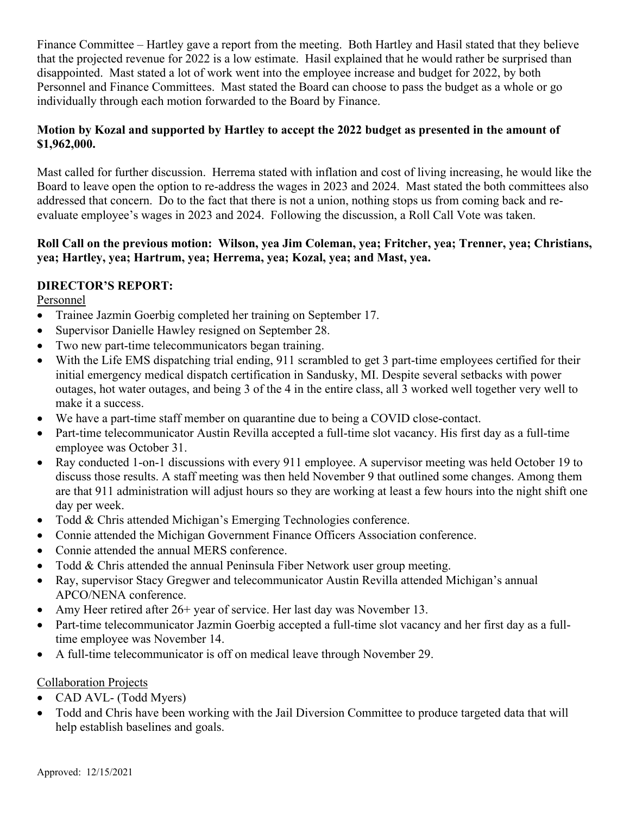Finance Committee – Hartley gave a report from the meeting. Both Hartley and Hasil stated that they believe that the projected revenue for 2022 is a low estimate. Hasil explained that he would rather be surprised than disappointed. Mast stated a lot of work went into the employee increase and budget for 2022, by both Personnel and Finance Committees. Mast stated the Board can choose to pass the budget as a whole or go individually through each motion forwarded to the Board by Finance.

# **Motion by Kozal and supported by Hartley to accept the 2022 budget as presented in the amount of \$1,962,000.**

Mast called for further discussion. Herrema stated with inflation and cost of living increasing, he would like the Board to leave open the option to re-address the wages in 2023 and 2024. Mast stated the both committees also addressed that concern. Do to the fact that there is not a union, nothing stops us from coming back and reevaluate employee's wages in 2023 and 2024. Following the discussion, a Roll Call Vote was taken.

# **Roll Call on the previous motion: Wilson, yea Jim Coleman, yea; Fritcher, yea; Trenner, yea; Christians, yea; Hartley, yea; Hartrum, yea; Herrema, yea; Kozal, yea; and Mast, yea.**

# **DIRECTOR'S REPORT:**

Personnel

- Trainee Jazmin Goerbig completed her training on September 17.
- Supervisor Danielle Hawley resigned on September 28.
- Two new part-time telecommunicators began training.
- With the Life EMS dispatching trial ending, 911 scrambled to get 3 part-time employees certified for their initial emergency medical dispatch certification in Sandusky, MI. Despite several setbacks with power outages, hot water outages, and being 3 of the 4 in the entire class, all 3 worked well together very well to make it a success.
- We have a part-time staff member on quarantine due to being a COVID close-contact.
- Part-time telecommunicator Austin Revilla accepted a full-time slot vacancy. His first day as a full-time employee was October 31.
- Ray conducted 1-on-1 discussions with every 911 employee. A supervisor meeting was held October 19 to discuss those results. A staff meeting was then held November 9 that outlined some changes. Among them are that 911 administration will adjust hours so they are working at least a few hours into the night shift one day per week.
- Todd & Chris attended Michigan's Emerging Technologies conference.
- Connie attended the Michigan Government Finance Officers Association conference.
- Connie attended the annual MERS conference.
- Todd & Chris attended the annual Peninsula Fiber Network user group meeting.
- Ray, supervisor Stacy Gregwer and telecommunicator Austin Revilla attended Michigan's annual APCO/NENA conference.
- Amy Heer retired after 26+ year of service. Her last day was November 13.
- Part-time telecommunicator Jazmin Goerbig accepted a full-time slot vacancy and her first day as a fulltime employee was November 14.
- A full-time telecommunicator is off on medical leave through November 29.

# Collaboration Projects

- CAD AVL- (Todd Myers)
- Todd and Chris have been working with the Jail Diversion Committee to produce targeted data that will help establish baselines and goals.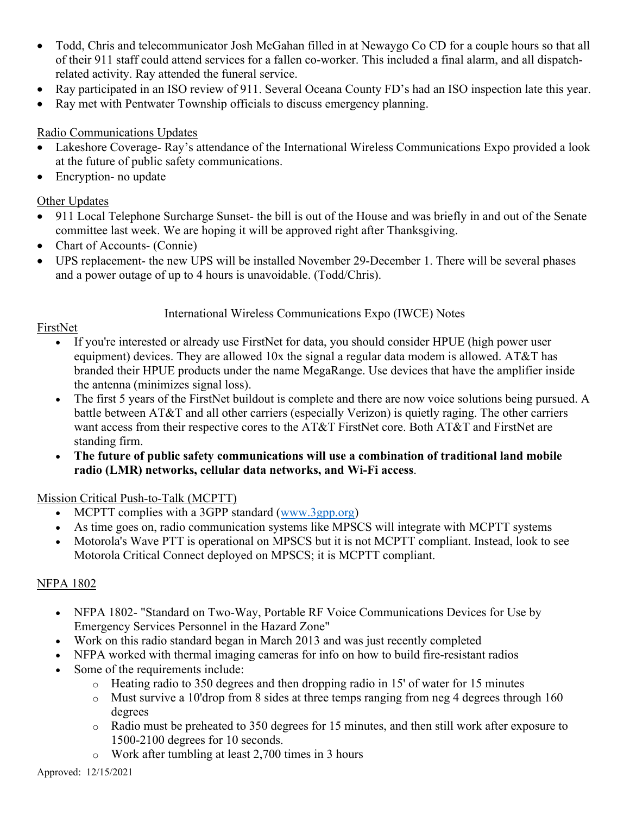- Todd, Chris and telecommunicator Josh McGahan filled in at Newaygo Co CD for a couple hours so that all of their 911 staff could attend services for a fallen co-worker. This included a final alarm, and all dispatchrelated activity. Ray attended the funeral service.
- Ray participated in an ISO review of 911. Several Oceana County FD's had an ISO inspection late this year.
- Ray met with Pentwater Township officials to discuss emergency planning.

# Radio Communications Updates

- Lakeshore Coverage- Ray's attendance of the International Wireless Communications Expo provided a look at the future of public safety communications.
- Encryption- no update

# **Other Updates**

- 911 Local Telephone Surcharge Sunset- the bill is out of the House and was briefly in and out of the Senate committee last week. We are hoping it will be approved right after Thanksgiving.
- Chart of Accounts- (Connie)
- UPS replacement- the new UPS will be installed November 29-December 1. There will be several phases and a power outage of up to 4 hours is unavoidable. (Todd/Chris).

# International Wireless Communications Expo (IWCE) Notes

# FirstNet

- If you're interested or already use FirstNet for data, you should consider HPUE (high power user equipment) devices. They are allowed 10x the signal a regular data modem is allowed. AT&T has branded their HPUE products under the name MegaRange. Use devices that have the amplifier inside the antenna (minimizes signal loss).
- The first 5 years of the FirstNet buildout is complete and there are now voice solutions being pursued. A battle between AT&T and all other carriers (especially Verizon) is quietly raging. The other carriers want access from their respective cores to the AT&T FirstNet core. Both AT&T and FirstNet are standing firm.
- **The future of public safety communications will use a combination of traditional land mobile radio (LMR) networks, cellular data networks, and Wi-Fi access**.

Mission Critical Push-to-Talk (MCPTT)

- MCPTT complies with a 3GPP standard (www.3gpp.org)
- As time goes on, radio communication systems like MPSCS will integrate with MCPTT systems
- Motorola's Wave PTT is operational on MPSCS but it is not MCPTT compliant. Instead, look to see Motorola Critical Connect deployed on MPSCS; it is MCPTT compliant.

# NFPA 1802

- NFPA 1802- "Standard on Two-Way, Portable RF Voice Communications Devices for Use by Emergency Services Personnel in the Hazard Zone"
- Work on this radio standard began in March 2013 and was just recently completed
- NFPA worked with thermal imaging cameras for info on how to build fire-resistant radios
- Some of the requirements include:
	- $\circ$  Heating radio to 350 degrees and then dropping radio in 15' of water for 15 minutes
	- o Must survive a 10'drop from 8 sides at three temps ranging from neg 4 degrees through 160 degrees
	- $\circ$  Radio must be preheated to 350 degrees for 15 minutes, and then still work after exposure to 1500-2100 degrees for 10 seconds.
	- o Work after tumbling at least 2,700 times in 3 hours